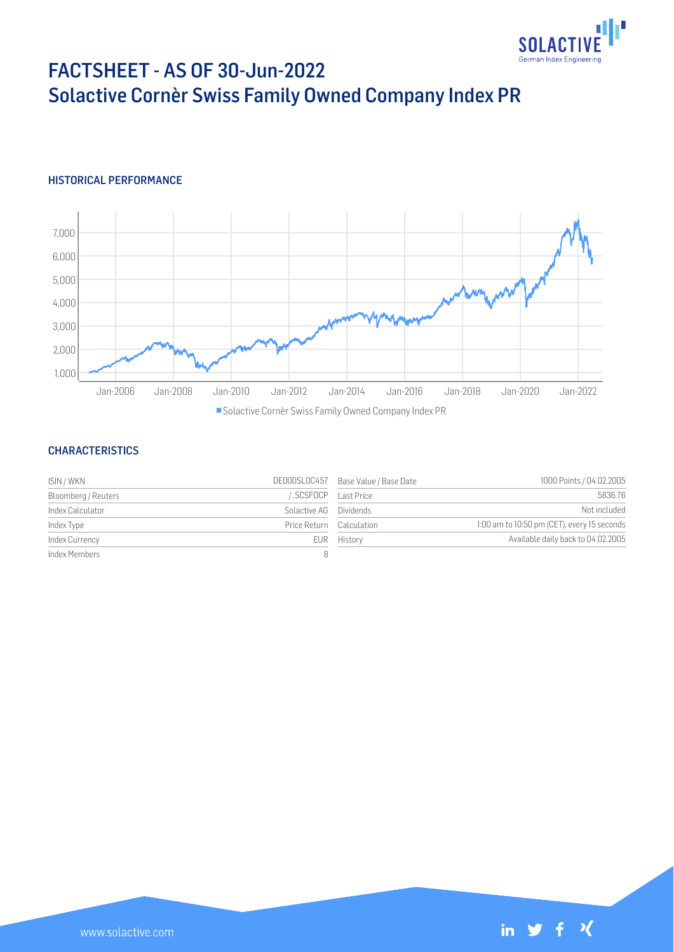

# FACTSHEET - AS OF 30-Jun-2022 Solactive Cornèr Swiss Family Owned Company Index PR

### HISTORICAL PERFORMANCE



Solactive Cornèr Swiss Family Owned Company Index PR

### **CHARACTERISTICS**

| ISIN / WKN          |                          | DE000SL0C457 Base Value / Base Date | 1000 Points / 04.02.2005                    |
|---------------------|--------------------------|-------------------------------------|---------------------------------------------|
| Bloomberg / Reuters |                          | SCSFOCP Last Price                  | 5836.76                                     |
| Index Calculator    | Solactive AG Dividends   |                                     | Not included                                |
| Index Type          | Price Return Calculation |                                     | 1:00 am to 10:50 pm (CET), every 15 seconds |
| Index Currency      |                          | EUR History                         | Available daily back to 04.02.2005          |
| Index Members       |                          |                                     |                                             |

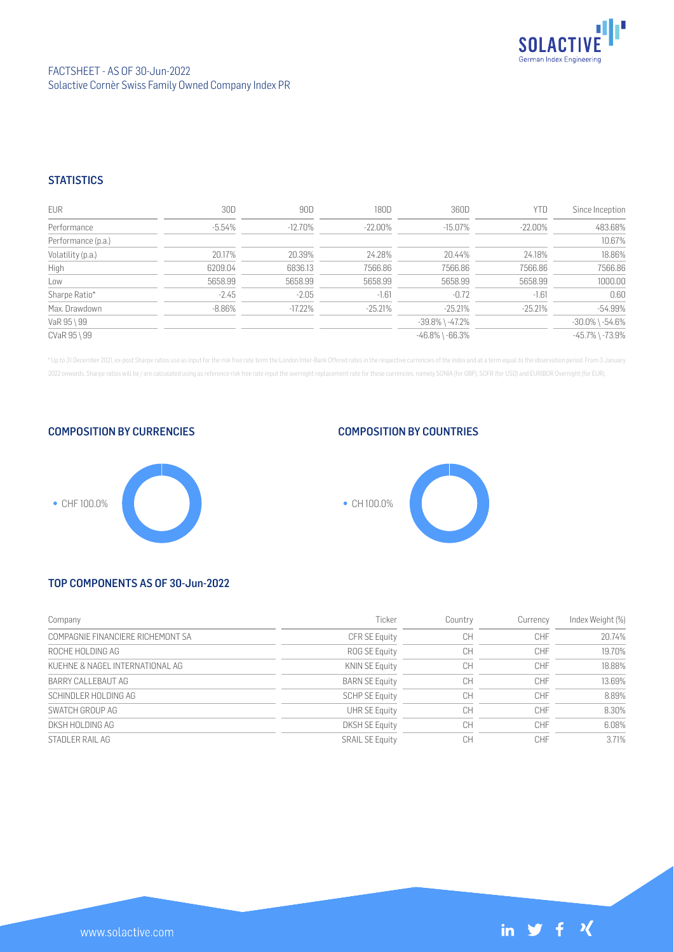

### FACTSHEET - AS OF 30-Jun-2022 Solactive Cornèr Swiss Family Owned Company Index PR

### **STATISTICS**

| <b>EUR</b>         | 30D       | 90D        | 180D      | 360D                  | YTD        | Since Inception       |
|--------------------|-----------|------------|-----------|-----------------------|------------|-----------------------|
| Performance        | -5.54%    | $-12.70\%$ | -22.00%   | $-15.07\%$            | $-22.00\%$ | 483.68%               |
| Performance (p.a.) |           |            |           |                       |            | 10.67%                |
| Volatility (p.a.)  | 20.17%    | 20.39%     | 24.28%    | 20.44%                | 24.18%     | 18.86%                |
| High               | 6209.04   | 6836.13    | 7566.86   | 7566.86               | 7566.86    | 7566.86               |
| Low                | 5658.99   | 5658.99    | 5658.99   | 5658.99               | 5658.99    | 1000.00               |
| Sharpe Ratio*      | $-2.45$   | $-2.05$    | $-1.61$   | $-0.72$               | $-1.61$    | 0.60                  |
| Max. Drawdown      | $-8.86\%$ | $-17.22\%$ | $-25.21%$ | $-25.21%$             | $-25.21%$  | $-54.99%$             |
| VaR 95 \ 99        |           |            |           | $-39.8\%$ \ $-47.2\%$ |            | $-30.0\%$ \ $-54.6\%$ |
| CVaR 95 \ 99       |           |            |           | $-46.8\%$ \ $-66.3\%$ |            | $-45.7\%$ \ $-73.9\%$ |

\* Up to 31 December 2021, ex-post Sharpe ratios use as input for the risk free rate term the London Inter-Bank Offered rates in the respective currencies of the index and at a term equal to the observation period. From 3 J 2022 onwards, Sharpe ratios will be / are calculated using as reference risk free rate input the overnight replacement rate for these currencies, namely SONIA (for GBP), SOFR (for USD) and EURIBOR Overnight (for EUR).

COMPOSITION BY CURRENCIES

# ● CHF 100.0%

### COMPOSITION BY COUNTRIES



## TOP COMPONENTS AS OF 30-Jun-2022

| Company                           | Ticker                 | Country | Currency   | Index Weight (%) |
|-----------------------------------|------------------------|---------|------------|------------------|
| COMPAGNIE FINANCIERE RICHEMONT SA | <b>CFR SE Equity</b>   | CH      | CHF        | 20.74%           |
| ROCHE HOLDING AG                  | ROG SE Equity          | CH      | CHF        | 19.70%           |
| KUEHNE & NAGEL INTERNATIONAL AG   | <b>KNIN SE Equity</b>  | CH      | CHF        | 18.88%           |
| BARRY CALLEBAUT AG                | <b>BARN SE Equity</b>  | CH      | <b>CHF</b> | 13.69%           |
| SCHINDLER HOLDING AG              | <b>SCHP SE Equity</b>  | CH      | CHF        | 8.89%            |
| SWATCH GROUP AG                   | <b>UHR SE Equity</b>   | CH      | CHF        | 8.30%            |
| DKSH HOLDING AG                   | <b>DKSH SE Equity</b>  | CH      | CHF        | 6.08%            |
| STADLER RAIL AG                   | <b>SRAIL SE Equity</b> | CН      | CHF        | 3.71%            |